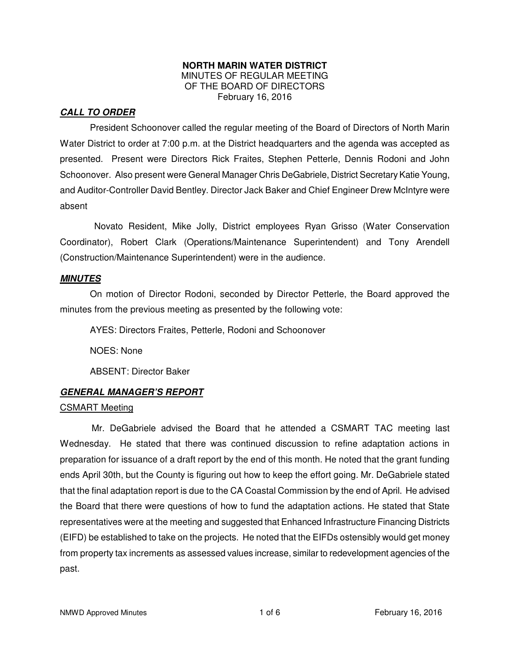#### **NORTH MARIN WATER DISTRICT**  MINUTES OF REGULAR MEETING OF THE BOARD OF DIRECTORS February 16, 2016

### **CALL TO ORDER**

President Schoonover called the regular meeting of the Board of Directors of North Marin Water District to order at 7:00 p.m. at the District headquarters and the agenda was accepted as presented. Present were Directors Rick Fraites, Stephen Petterle, Dennis Rodoni and John Schoonover. Also present were General Manager Chris DeGabriele, District Secretary Katie Young, and Auditor-Controller David Bentley. Director Jack Baker and Chief Engineer Drew McIntyre were absent

 Novato Resident, Mike Jolly, District employees Ryan Grisso (Water Conservation Coordinator), Robert Clark (Operations/Maintenance Superintendent) and Tony Arendell (Construction/Maintenance Superintendent) were in the audience.

#### **MINUTES**

 On motion of Director Rodoni, seconded by Director Petterle, the Board approved the minutes from the previous meeting as presented by the following vote:

AYES: Directors Fraites, Petterle, Rodoni and Schoonover

NOES: None

ABSENT: Director Baker

## **GENERAL MANAGER'S REPORT**

#### CSMART Meeting

Mr. DeGabriele advised the Board that he attended a CSMART TAC meeting last Wednesday. He stated that there was continued discussion to refine adaptation actions in preparation for issuance of a draft report by the end of this month. He noted that the grant funding ends April 30th, but the County is figuring out how to keep the effort going. Mr. DeGabriele stated that the final adaptation report is due to the CA Coastal Commission by the end of April. He advised the Board that there were questions of how to fund the adaptation actions. He stated that State representatives were at the meeting and suggested that Enhanced Infrastructure Financing Districts (EIFD) be established to take on the projects. He noted that the EIFDs ostensibly would get money from property tax increments as assessed values increase, similar to redevelopment agencies of the past.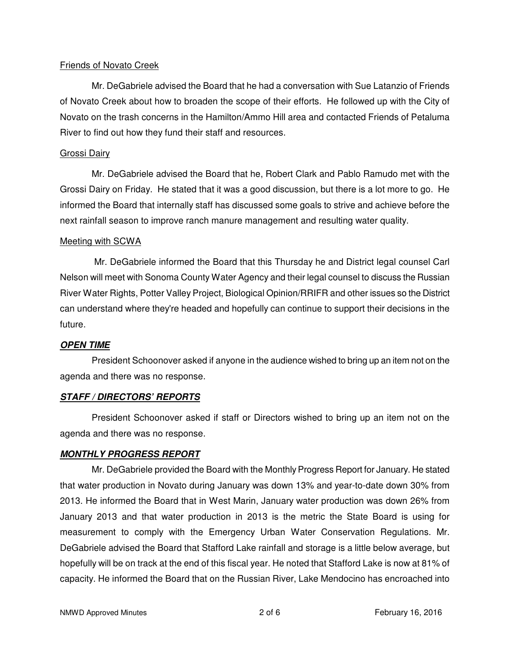#### Friends of Novato Creek

Mr. DeGabriele advised the Board that he had a conversation with Sue Latanzio of Friends of Novato Creek about how to broaden the scope of their efforts. He followed up with the City of Novato on the trash concerns in the Hamilton/Ammo Hill area and contacted Friends of Petaluma River to find out how they fund their staff and resources.

### Grossi Dairy

Mr. DeGabriele advised the Board that he, Robert Clark and Pablo Ramudo met with the Grossi Dairy on Friday. He stated that it was a good discussion, but there is a lot more to go. He informed the Board that internally staff has discussed some goals to strive and achieve before the next rainfall season to improve ranch manure management and resulting water quality.

#### Meeting with SCWA

 Mr. DeGabriele informed the Board that this Thursday he and District legal counsel Carl Nelson will meet with Sonoma County Water Agency and their legal counsel to discuss the Russian River Water Rights, Potter Valley Project, Biological Opinion/RRIFR and other issues so the District can understand where they're headed and hopefully can continue to support their decisions in the future.

## **OPEN TIME**

President Schoonover asked if anyone in the audience wished to bring up an item not on the agenda and there was no response.

## **STAFF / DIRECTORS' REPORTS**

President Schoonover asked if staff or Directors wished to bring up an item not on the agenda and there was no response.

## **MONTHLY PROGRESS REPORT**

Mr. DeGabriele provided the Board with the Monthly Progress Report for January. He stated that water production in Novato during January was down 13% and year-to-date down 30% from 2013. He informed the Board that in West Marin, January water production was down 26% from January 2013 and that water production in 2013 is the metric the State Board is using for measurement to comply with the Emergency Urban Water Conservation Regulations. Mr. DeGabriele advised the Board that Stafford Lake rainfall and storage is a little below average, but hopefully will be on track at the end of this fiscal year. He noted that Stafford Lake is now at 81% of capacity. He informed the Board that on the Russian River, Lake Mendocino has encroached into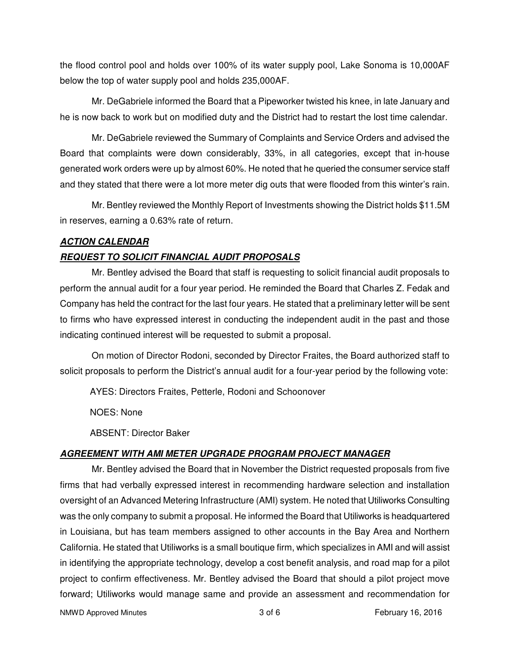the flood control pool and holds over 100% of its water supply pool, Lake Sonoma is 10,000AF below the top of water supply pool and holds 235,000AF.

Mr. DeGabriele informed the Board that a Pipeworker twisted his knee, in late January and he is now back to work but on modified duty and the District had to restart the lost time calendar.

Mr. DeGabriele reviewed the Summary of Complaints and Service Orders and advised the Board that complaints were down considerably, 33%, in all categories, except that in-house generated work orders were up by almost 60%. He noted that he queried the consumer service staff and they stated that there were a lot more meter dig outs that were flooded from this winter's rain.

Mr. Bentley reviewed the Monthly Report of Investments showing the District holds \$11.5M in reserves, earning a 0.63% rate of return.

#### **ACTION CALENDAR**

#### **REQUEST TO SOLICIT FINANCIAL AUDIT PROPOSALS**

Mr. Bentley advised the Board that staff is requesting to solicit financial audit proposals to perform the annual audit for a four year period. He reminded the Board that Charles Z. Fedak and Company has held the contract for the last four years. He stated that a preliminary letter will be sent to firms who have expressed interest in conducting the independent audit in the past and those indicating continued interest will be requested to submit a proposal.

On motion of Director Rodoni, seconded by Director Fraites, the Board authorized staff to solicit proposals to perform the District's annual audit for a four-year period by the following vote:

AYES: Directors Fraites, Petterle, Rodoni and Schoonover

NOES: None

ABSENT: Director Baker

## **AGREEMENT WITH AMI METER UPGRADE PROGRAM PROJECT MANAGER**

Mr. Bentley advised the Board that in November the District requested proposals from five firms that had verbally expressed interest in recommending hardware selection and installation oversight of an Advanced Metering Infrastructure (AMI) system. He noted that Utiliworks Consulting was the only company to submit a proposal. He informed the Board that Utiliworks is headquartered in Louisiana, but has team members assigned to other accounts in the Bay Area and Northern California. He stated that Utiliworks is a small boutique firm, which specializes in AMI and will assist in identifying the appropriate technology, develop a cost benefit analysis, and road map for a pilot project to confirm effectiveness. Mr. Bentley advised the Board that should a pilot project move forward; Utiliworks would manage same and provide an assessment and recommendation for

NMWD Approved Minutes and the state of the state 3 of 6 February 16, 2016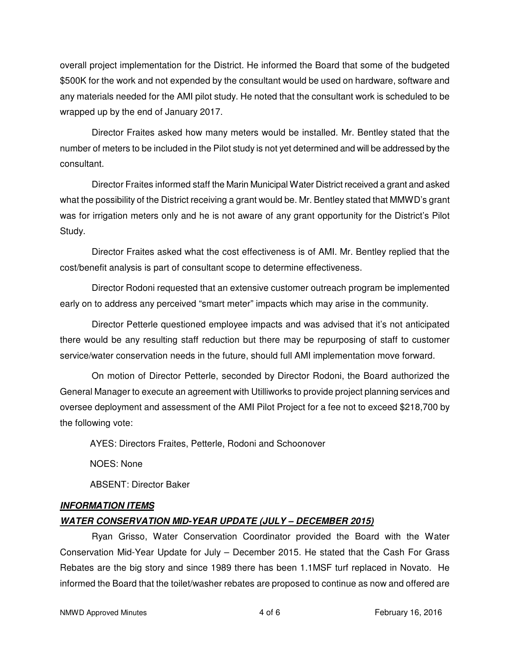overall project implementation for the District. He informed the Board that some of the budgeted \$500K for the work and not expended by the consultant would be used on hardware, software and any materials needed for the AMI pilot study. He noted that the consultant work is scheduled to be wrapped up by the end of January 2017.

Director Fraites asked how many meters would be installed. Mr. Bentley stated that the number of meters to be included in the Pilot study is not yet determined and will be addressed by the consultant.

Director Fraites informed staff the Marin Municipal Water District received a grant and asked what the possibility of the District receiving a grant would be. Mr. Bentley stated that MMWD's grant was for irrigation meters only and he is not aware of any grant opportunity for the District's Pilot Study.

Director Fraites asked what the cost effectiveness is of AMI. Mr. Bentley replied that the cost/benefit analysis is part of consultant scope to determine effectiveness.

Director Rodoni requested that an extensive customer outreach program be implemented early on to address any perceived "smart meter" impacts which may arise in the community.

Director Petterle questioned employee impacts and was advised that it's not anticipated there would be any resulting staff reduction but there may be repurposing of staff to customer service/water conservation needs in the future, should full AMI implementation move forward.

On motion of Director Petterle, seconded by Director Rodoni, the Board authorized the General Manager to execute an agreement with Utilliworks to provide project planning services and oversee deployment and assessment of the AMI Pilot Project for a fee not to exceed \$218,700 by the following vote:

AYES: Directors Fraites, Petterle, Rodoni and Schoonover

NOES: None

ABSENT: Director Baker

## **INFORMATION ITEMS**

## **WATER CONSERVATION MID-YEAR UPDATE (JULY – DECEMBER 2015)**

Ryan Grisso, Water Conservation Coordinator provided the Board with the Water Conservation Mid-Year Update for July – December 2015. He stated that the Cash For Grass Rebates are the big story and since 1989 there has been 1.1MSF turf replaced in Novato. He informed the Board that the toilet/washer rebates are proposed to continue as now and offered are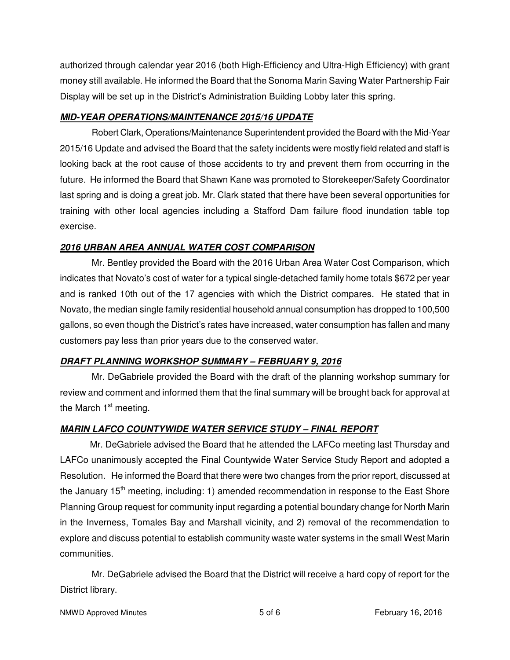authorized through calendar year 2016 (both High-Efficiency and Ultra-High Efficiency) with grant money still available. He informed the Board that the Sonoma Marin Saving Water Partnership Fair Display will be set up in the District's Administration Building Lobby later this spring.

## **MID-YEAR OPERATIONS/MAINTENANCE 2015/16 UPDATE**

Robert Clark, Operations/Maintenance Superintendent provided the Board with the Mid-Year 2015/16 Update and advised the Board that the safety incidents were mostly field related and staff is looking back at the root cause of those accidents to try and prevent them from occurring in the future. He informed the Board that Shawn Kane was promoted to Storekeeper/Safety Coordinator last spring and is doing a great job. Mr. Clark stated that there have been several opportunities for training with other local agencies including a Stafford Dam failure flood inundation table top exercise.

## **2016 URBAN AREA ANNUAL WATER COST COMPARISON**

Mr. Bentley provided the Board with the 2016 Urban Area Water Cost Comparison, which indicates that Novato's cost of water for a typical single-detached family home totals \$672 per year and is ranked 10th out of the 17 agencies with which the District compares. He stated that in Novato, the median single family residential household annual consumption has dropped to 100,500 gallons, so even though the District's rates have increased, water consumption has fallen and many customers pay less than prior years due to the conserved water.

# **DRAFT PLANNING WORKSHOP SUMMARY – FEBRUARY 9, 2016**

Mr. DeGabriele provided the Board with the draft of the planning workshop summary for review and comment and informed them that the final summary will be brought back for approval at the March  $1<sup>st</sup>$  meeting.

# **MARIN LAFCO COUNTYWIDE WATER SERVICE STUDY – FINAL REPORT**

 Mr. DeGabriele advised the Board that he attended the LAFCo meeting last Thursday and LAFCo unanimously accepted the Final Countywide Water Service Study Report and adopted a Resolution. He informed the Board that there were two changes from the prior report, discussed at the January 15<sup>th</sup> meeting, including: 1) amended recommendation in response to the East Shore Planning Group request for community input regarding a potential boundary change for North Marin in the Inverness, Tomales Bay and Marshall vicinity, and 2) removal of the recommendation to explore and discuss potential to establish community waste water systems in the small West Marin communities.

Mr. DeGabriele advised the Board that the District will receive a hard copy of report for the District library.